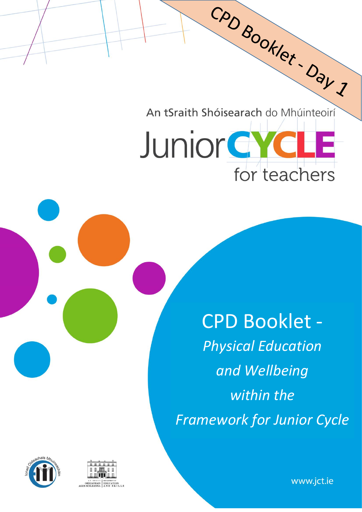CAD BOOKlet. Day 1 An tSraith Shóisearach do Mhúinteoirí

for teachers

**Junior GYC** 

CPD Booklet - *Physical Education and Wellbeing within the Framework for Junior Cycle*





www.jct.ie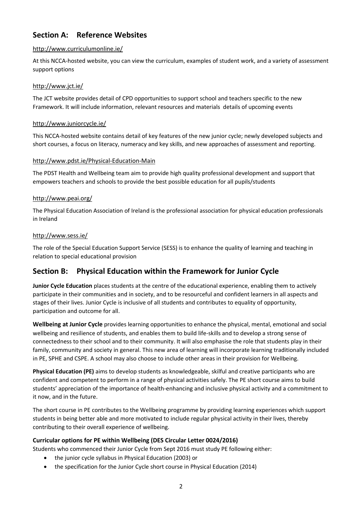## **Section A: Reference Websites**

#### <http://www.curriculumonline.ie/>

At this NCCA-hosted website, you can view the curriculum, examples of student work, and a variety of assessment support options

#### <http://www.jct.ie/>

The JCT website provides detail of CPD opportunities to support school and teachers specific to the new Framework. It will include information, relevant resources and materials details of upcoming events

#### <http://www.juniorcycle.ie/>

This NCCA-hosted website contains detail of key features of the new junior cycle; newly developed subjects and short courses, a focus on literacy, numeracy and key skills, and new approaches of assessment and reporting.

#### <http://www.pdst.ie/Physical-Education-Main>

The PDST Health and Wellbeing team aim to provide high quality professional development and support that empowers teachers and schools to provide the best possible education for all pupils/students

#### <http://www.peai.org/>

The Physical Education Association of Ireland is the professional association for physical education professionals in Ireland

#### <http://www.sess.ie/>

The role of the Special Education Support Service (SESS) is to enhance the quality of learning and teaching in relation to special educational provision

### **Section B: Physical Education within the Framework for Junior Cycle**

**Junior Cycle Education** places students at the centre of the educational experience, enabling them to actively participate in their communities and in society, and to be resourceful and confident learners in all aspects and stages of their lives. Junior Cycle is inclusive of all students and contributes to equality of opportunity, participation and outcome for all.

**Wellbeing at Junior Cycle** provides learning opportunities to enhance the physical, mental, emotional and social wellbeing and resilience of students, and enables them to build life-skills and to develop a strong sense of connectedness to their school and to their community. It will also emphasise the role that students play in their family, community and society in general. This new area of learning will incorporate learning traditionally included in PE, SPHE and CSPE. A school may also choose to include other areas in their provision for Wellbeing.

**Physical Education (PE)** aims to develop students as knowledgeable, skilful and creative participants who are confident and competent to perform in a range of physical activities safely. The PE short course aims to build students' appreciation of the importance of health-enhancing and inclusive physical activity and a commitment to it now, and in the future.

The short course in PE contributes to the Wellbeing programme by providing learning experiences which support students in being better able and more motivated to include regular physical activity in their lives, thereby contributing to their overall experience of wellbeing.

### **Curricular options for PE within Wellbeing (DES Circular Letter 0024/2016)**

Students who commenced their Junior Cycle from Sept 2016 must study PE following either:

- the junior cycle syllabus in Physical Education (2003) or
- the specification for the Junior Cycle short course in Physical Education (2014)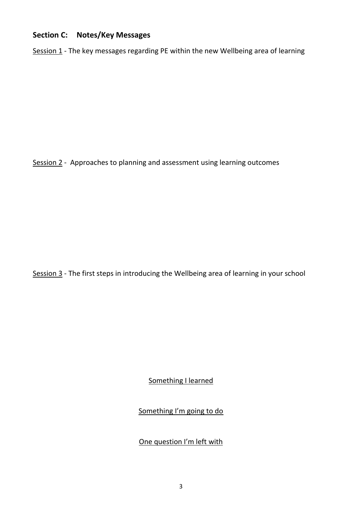## **Section C: Notes/Key Messages**

Session 1 - The key messages regarding PE within the new Wellbeing area of learning

Session 2 - Approaches to planning and assessment using learning outcomes

Session 3 - The first steps in introducing the Wellbeing area of learning in your school

Something I learned

Something I'm going to do

One question I'm left with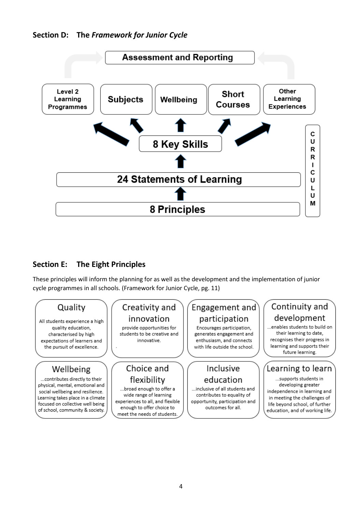

## **Section E: The Eight Principles**

These principles will inform the planning for as well as the development and the implementation of junior cycle programmes in all schools. (Framework for Junior Cycle, pg. 11)

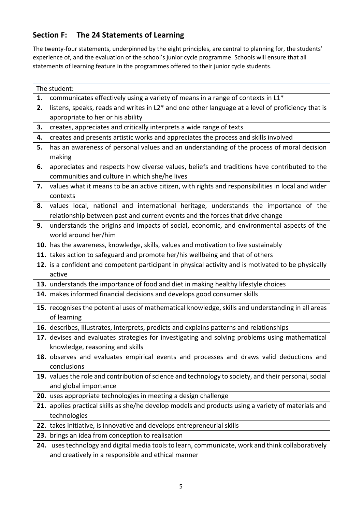## **Section F: The 24 Statements of Learning**

The twenty-four statements, underpinned by the eight principles, are central to planning for, the students' experience of, and the evaluation of the school's junior cycle programme. Schools will ensure that all statements of learning feature in the programmes offered to their junior cycle students.

|    | The student:                                                                                          |
|----|-------------------------------------------------------------------------------------------------------|
| 1. | communicates effectively using a variety of means in a range of contexts in L1*                       |
| 2. | listens, speaks, reads and writes in L2* and one other language at a level of proficiency that is     |
|    | appropriate to her or his ability                                                                     |
| 3. | creates, appreciates and critically interprets a wide range of texts                                  |
| 4. | creates and presents artistic works and appreciates the process and skills involved                   |
| 5. | has an awareness of personal values and an understanding of the process of moral decision             |
|    | making                                                                                                |
| 6. | appreciates and respects how diverse values, beliefs and traditions have contributed to the           |
|    | communities and culture in which she/he lives                                                         |
| 7. | values what it means to be an active citizen, with rights and responsibilities in local and wider     |
|    | contexts                                                                                              |
| 8. | values local, national and international heritage, understands the importance of the                  |
|    | relationship between past and current events and the forces that drive change                         |
| 9. | understands the origins and impacts of social, economic, and environmental aspects of the             |
|    | world around her/him                                                                                  |
|    | 10. has the awareness, knowledge, skills, values and motivation to live sustainably                   |
|    | 11. takes action to safeguard and promote her/his wellbeing and that of others                        |
|    | 12. is a confident and competent participant in physical activity and is motivated to be physically   |
|    | active                                                                                                |
|    | 13. understands the importance of food and diet in making healthy lifestyle choices                   |
|    | 14. makes informed financial decisions and develops good consumer skills                              |
|    | 15. recognises the potential uses of mathematical knowledge, skills and understanding in all areas    |
|    | of learning                                                                                           |
|    | 16. describes, illustrates, interprets, predicts and explains patterns and relationships              |
|    | 17. devises and evaluates strategies for investigating and solving problems using mathematical        |
|    | knowledge, reasoning and skills                                                                       |
|    | 18. observes and evaluates empirical events and processes and draws valid deductions and              |
|    | conclusions                                                                                           |
|    | 19. values the role and contribution of science and technology to society, and their personal, social |
|    | and global importance                                                                                 |
|    | 20. uses appropriate technologies in meeting a design challenge                                       |
|    | 21. applies practical skills as she/he develop models and products using a variety of materials and   |
|    | technologies                                                                                          |
|    | 22. takes initiative, is innovative and develops entrepreneurial skills                               |
|    | 23. brings an idea from conception to realisation                                                     |
|    | 24. uses technology and digital media tools to learn, communicate, work and think collaboratively     |
|    | and creatively in a responsible and ethical manner                                                    |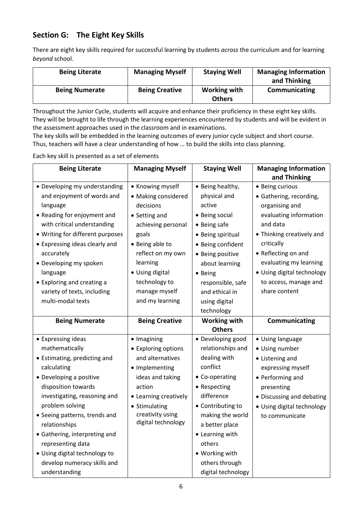## **Section G: The Eight Key Skills**

There are eight key skills required for successful learning by students *across* the curriculum and for learning *beyond* school.

| <b>Being Literate</b> | <b>Managing Myself</b> | <b>Staying Well</b>           | <b>Managing Information</b><br>and Thinking |
|-----------------------|------------------------|-------------------------------|---------------------------------------------|
| <b>Being Numerate</b> | <b>Being Creative</b>  | Working with<br><b>Others</b> | Communicating                               |

Throughout the Junior Cycle, students will acquire and enhance their proficiency in these eight key skills. They will be brought to life through the learning experiences encountered by students and will be evident in the assessment approaches used in the classroom and in examinations.

The key skills will be embedded in the learning outcomes of every junior cycle subject and short course. Thus, teachers will have a clear understanding of how … to build the skills into class planning.

Each key skill is presented as a set of elements

| <b>Being Literate</b>            | <b>Managing Myself</b> | <b>Staying Well</b> | <b>Managing Information</b> |
|----------------------------------|------------------------|---------------------|-----------------------------|
|                                  |                        |                     | and Thinking                |
| • Developing my understanding    | • Knowing myself       | • Being healthy,    | • Being curious             |
| and enjoyment of words and       | • Making considered    | physical and        | • Gathering, recording,     |
| language                         | decisions              | active              | organising and              |
| • Reading for enjoyment and      | • Setting and          | • Being social      | evaluating information      |
| with critical understanding      | achieving personal     | • Being safe        | and data                    |
| • Writing for different purposes | goals                  | • Being spiritual   | • Thinking creatively and   |
| • Expressing ideas clearly and   | • Being able to        | • Being confident   | critically                  |
| accurately                       | reflect on my own      | • Being positive    | • Reflecting on and         |
| • Developing my spoken           | learning               | about learning      | evaluating my learning      |
| language                         | • Using digital        | • Being             | · Using digital technology  |
| • Exploring and creating a       | technology to          | responsible, safe   | to access, manage and       |
| variety of texts, including      | manage myself          | and ethical in      | share content               |
| multi-modal texts                | and my learning        | using digital       |                             |
|                                  |                        | technology          |                             |
| <b>Being Numerate</b>            | <b>Being Creative</b>  | <b>Working with</b> | Communicating               |
|                                  |                        | <b>Others</b>       |                             |
| • Expressing ideas               | · Imagining            | • Developing good   | • Using language            |
| mathematically                   | • Exploring options    | relationships and   | • Using number              |
| • Estimating, predicting and     | and alternatives       | dealing with        | • Listening and             |
| calculating                      | • Implementing         | conflict            | expressing myself           |
| • Developing a positive          | ideas and taking       | • Co-operating      | • Performing and            |
| disposition towards              | action                 | • Respecting        | presenting                  |
| investigating, reasoning and     | • Learning creatively  | difference          | • Discussing and debating   |
| problem solving                  | • Stimulating          | • Contributing to   | • Using digital technology  |
| • Seeing patterns, trends and    | creativity using       | making the world    | to communicate              |
| relationships                    | digital technology     | a better place      |                             |
| • Gathering, interpreting and    |                        | • Learning with     |                             |
| representing data                |                        | others              |                             |
| • Using digital technology to    |                        | • Working with      |                             |
| develop numeracy skills and      |                        | others through      |                             |
| understanding                    |                        | digital technology  |                             |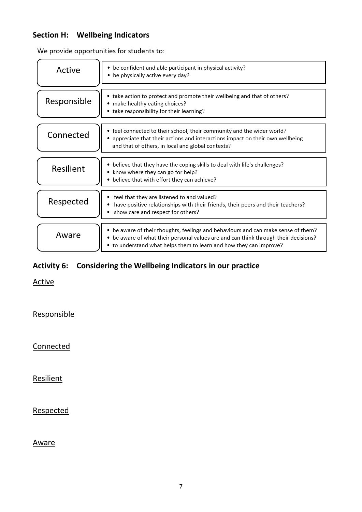## **Section H: Wellbeing Indicators**

We provide opportunities for students to:

| Active      | • be confident and able participant in physical activity?<br>• be physically active every day?                                                                                                                                                 |
|-------------|------------------------------------------------------------------------------------------------------------------------------------------------------------------------------------------------------------------------------------------------|
| Responsible | • take action to protect and promote their wellbeing and that of others?<br>• make healthy eating choices?<br>• take responsibility for their learning?                                                                                        |
| Connected   | • feel connected to their school, their community and the wider world?<br>appreciate that their actions and interactions impact on their own wellbeing<br>and that of others, in local and global contexts?                                    |
| Resilient   | • believe that they have the coping skills to deal with life's challenges?<br>• know where they can go for help?<br>• believe that with effort they can achieve?                                                                               |
| Respected   | feel that they are listened to and valued?<br>have positive relationships with their friends, their peers and their teachers?<br>show care and respect for others?                                                                             |
| Aware       | • be aware of their thoughts, feelings and behaviours and can make sense of them?<br>• be aware of what their personal values are and can think through their decisions?<br>• to understand what helps them to learn and how they can improve? |

# **Activity 6: Considering the Wellbeing Indicators in our practice**

Active

**Responsible** 

**Connected** 

Resilient

Respected

Aware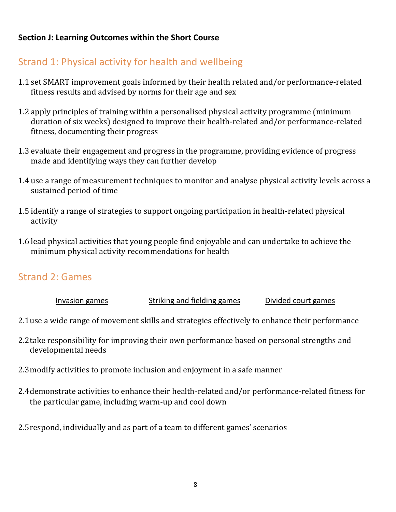## **Section J: Learning Outcomes within the Short Course**

# Strand 1: Physical activity for health and wellbeing

- 1.1 set SMART improvement goals informed by their health related and/or performance-related fitness results and advised by norms for their age and sex
- 1.2 apply principles of training within a personalised physical activity programme (minimum duration of six weeks) designed to improve their health-related and/or performance-related fitness, documenting their progress
- 1.3 evaluate their engagement and progress in the programme, providing evidence of progress made and identifying ways they can further develop
- 1.4 use a range of measurement techniques to monitor and analyse physical activity levels across a sustained period of time
- 1.5 identify a range of strategies to support ongoing participation in health-related physical activity
- 1.6 lead physical activities that young people find enjoyable and can undertake to achieve the minimum physical activity recommendations for health

# Strand 2: Games

| Invasion games | Striking and fielding games | Divided court games |
|----------------|-----------------------------|---------------------|
|----------------|-----------------------------|---------------------|

- 2.1use a wide range of movement skills and strategies effectively to enhance their performance
- 2.2take responsibility for improving their own performance based on personal strengths and developmental needs
- 2.3modify activities to promote inclusion and enjoyment in a safe manner
- 2.4demonstrate activities to enhance their health-related and/or performance-related fitness for the particular game, including warm-up and cool down
- 2.5respond, individually and as part of a team to different games' scenarios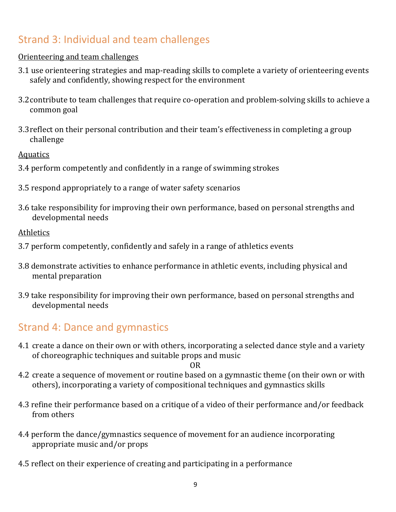# Strand 3: Individual and team challenges

## Orienteering and team challenges

- 3.1 use orienteering strategies and map-reading skills to complete a variety of orienteering events safely and confidently, showing respect for the environment
- 3.2contribute to team challenges that require co-operation and problem-solving skills to achieve a common goal
- 3.3reflect on their personal contribution and their team's effectiveness in completing a group challenge

Aquatics

- 3.4 perform competently and confidently in a range of swimming strokes
- 3.5 respond appropriately to a range of water safety scenarios
- 3.6 take responsibility for improving their own performance, based on personal strengths and developmental needs

**Athletics** 

- 3.7 perform competently, confidently and safely in a range of athletics events
- 3.8 demonstrate activities to enhance performance in athletic events, including physical and mental preparation
- 3.9 take responsibility for improving their own performance, based on personal strengths and developmental needs

# Strand 4: Dance and gymnastics

4.1 create a dance on their own or with others, incorporating a selected dance style and a variety of choreographic techniques and suitable props and music

OR

- 4.2 create a sequence of movement or routine based on a gymnastic theme (on their own or with others), incorporating a variety of compositional techniques and gymnastics skills
- 4.3 refine their performance based on a critique of a video of their performance and/or feedback from others
- 4.4 perform the dance/gymnastics sequence of movement for an audience incorporating appropriate music and/or props
- 4.5 reflect on their experience of creating and participating in a performance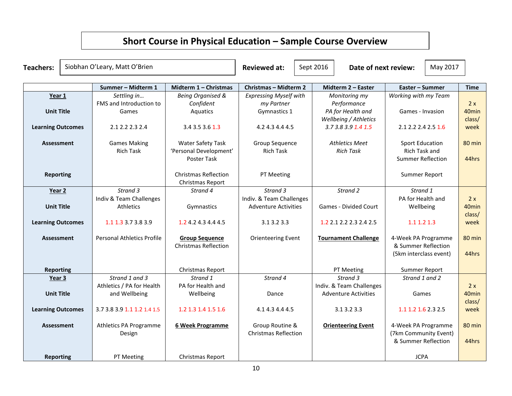# **Short Course in Physical Education – Sample Course Overview**

| <b>Teachers:</b>         |  | Siobhan O'Leary, Matt O'Brien     |                                                 | <b>Reviewed at:</b>           | Sept 2016 | Date of next review:        |                          | May 2017 |                   |
|--------------------------|--|-----------------------------------|-------------------------------------------------|-------------------------------|-----------|-----------------------------|--------------------------|----------|-------------------|
|                          |  | Summer - Midterm 1                | Midterm 1 - Christmas                           | <b>Christmas - Midterm 2</b>  |           | Midterm 2 - Easter          | Easter - Summer          |          | <b>Time</b>       |
| Year 1                   |  | Settling in                       | <b>Being Organised &amp;</b>                    | <b>Expressing Myself with</b> |           | Monitoring my               | Working with my Team     |          |                   |
|                          |  | FMS and Introduction to           | Confident                                       | my Partner                    |           | Performance                 |                          |          | 2x                |
| <b>Unit Title</b>        |  | Games                             | Aquatics                                        | Gymnastics 1                  |           | PA for Health and           | Games - Invasion         |          | 40 <sub>min</sub> |
|                          |  |                                   |                                                 |                               |           | Wellbeing / Athletics       |                          |          | class/            |
| <b>Learning Outcomes</b> |  | 2.1 2.2 2.3 2.4                   | 3.4 3.5 3.6 1.3                                 | 4.2 4.3 4.4 4.5               |           | 3.73.83.91.41.5             | 2.1 2.2 2.4 2.5 1.6      |          | week              |
| <b>Assessment</b>        |  | <b>Games Making</b>               | <b>Water Safety Task</b>                        | Group Sequence                |           | <b>Athletics Meet</b>       | <b>Sport Education</b>   |          | 80 min            |
|                          |  | <b>Rich Task</b>                  | 'Personal Development'                          | <b>Rich Task</b>              |           | <b>Rich Task</b>            | Rich Task and            |          |                   |
|                          |  |                                   | Poster Task                                     |                               |           |                             | <b>Summer Reflection</b> |          | 44hrs             |
| <b>Reporting</b>         |  |                                   | <b>Christmas Reflection</b><br>Christmas Report | PT Meeting                    |           |                             | Summer Report            |          |                   |
| Year 2                   |  | Strand 3                          | Strand 4                                        | Strand 3                      |           | Strand 2                    | Strand 1                 |          |                   |
|                          |  | Indiv & Team Challenges           |                                                 | Indiv. & Team Challenges      |           |                             | PA for Health and        |          | 2x                |
| <b>Unit Title</b>        |  | Athletics                         | Gymnastics                                      | <b>Adventure Activities</b>   |           | Games - Divided Court       | Wellbeing                |          | 40 <sub>min</sub> |
| <b>Learning Outcomes</b> |  | 1.1 1.3 3.7 3.8 3.9               | 1.2 4.2 4.3 4.4 4.5                             | 3.1 3.2 3.3                   |           | 1.2 2.1 2.2 2.3 2.4 2.5     | 1.1 1.2 1.3              |          | class/<br>week    |
| <b>Assessment</b>        |  | <b>Personal Athletics Profile</b> | <b>Group Sequence</b>                           | <b>Orienteering Event</b>     |           | <b>Tournament Challenge</b> | 4-Week PA Programme      |          | 80 min            |
|                          |  |                                   | <b>Christmas Reflection</b>                     |                               |           |                             | & Summer Reflection      |          |                   |
|                          |  |                                   |                                                 |                               |           |                             | (5km interclass event)   |          | 44hrs             |
| <b>Reporting</b>         |  |                                   | Christmas Report                                |                               |           | PT Meeting                  | Summer Report            |          |                   |
| Year 3                   |  | Strand 1 and 3                    | Strand 1                                        | Strand 4                      |           | Strand 3                    | Strand 1 and 2           |          |                   |
|                          |  | Athletics / PA for Health         | PA for Health and                               |                               |           | Indiv. & Team Challenges    |                          |          | 2x                |
| <b>Unit Title</b>        |  | and Wellbeing                     | Wellbeing                                       | Dance                         |           | <b>Adventure Activities</b> | Games                    |          | 40 <sub>min</sub> |
|                          |  |                                   |                                                 |                               |           |                             |                          |          | class/            |
| <b>Learning Outcomes</b> |  | 3.7 3.8 3.9 1.1 1.2 1.4 1.5       | 1.2 1.3 1.4 1.5 1.6                             | 4.1 4.3 4.4 4.5               |           | 3.1 3.2 3.3                 | 1.1 1.2 1.6 2.3 2.5      |          | week              |
| <b>Assessment</b>        |  | Athletics PA Programme            | <b>6 Week Programme</b>                         | Group Routine &               |           | <b>Orienteering Event</b>   | 4-Week PA Programme      |          | 80 min            |
|                          |  | Design                            |                                                 | <b>Christmas Reflection</b>   |           |                             | (7km Community Event)    |          |                   |
|                          |  |                                   |                                                 |                               |           |                             | & Summer Reflection      |          | 44hrs             |
| Reporting                |  | PT Meeting                        | <b>Christmas Report</b>                         |                               |           |                             | <b>JCPA</b>              |          |                   |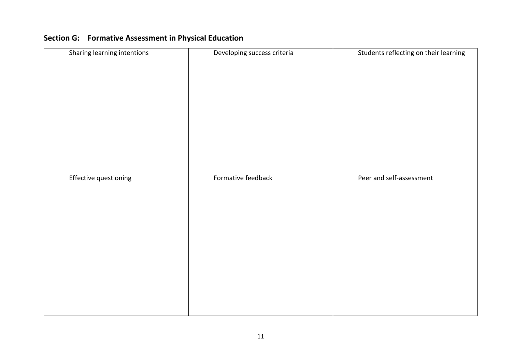| Sharing learning intentions | Developing success criteria | Students reflecting on their learning |
|-----------------------------|-----------------------------|---------------------------------------|
| Effective questioning       | Formative feedback          | Peer and self-assessment              |

# **Section G: Formative Assessment in Physical Education**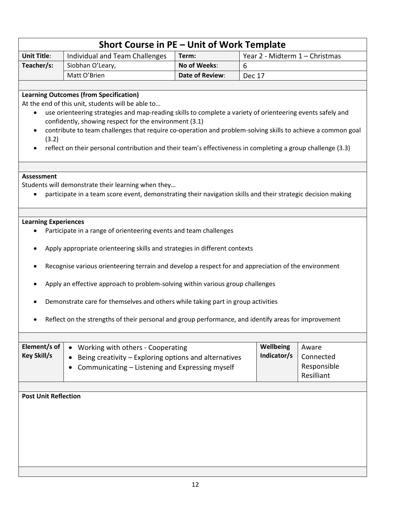| Short Course in PE - Unit of Work Template                                                                                                                                                                                                                                                                                                                                                                                                                                                                                                                           |                                                                                                                                                                                                                                                                                                                                                                                                                                                                                                          |                 |                                |  |  |  |
|----------------------------------------------------------------------------------------------------------------------------------------------------------------------------------------------------------------------------------------------------------------------------------------------------------------------------------------------------------------------------------------------------------------------------------------------------------------------------------------------------------------------------------------------------------------------|----------------------------------------------------------------------------------------------------------------------------------------------------------------------------------------------------------------------------------------------------------------------------------------------------------------------------------------------------------------------------------------------------------------------------------------------------------------------------------------------------------|-----------------|--------------------------------|--|--|--|
| <b>Unit Title:</b>                                                                                                                                                                                                                                                                                                                                                                                                                                                                                                                                                   | Individual and Team Challenges                                                                                                                                                                                                                                                                                                                                                                                                                                                                           | Term:           | Year 2 - Midterm 1 - Christmas |  |  |  |
| Teacher/s:                                                                                                                                                                                                                                                                                                                                                                                                                                                                                                                                                           | Siobhan O'Leary,                                                                                                                                                                                                                                                                                                                                                                                                                                                                                         | No of Weeks:    | 6                              |  |  |  |
|                                                                                                                                                                                                                                                                                                                                                                                                                                                                                                                                                                      | Matt O'Brien                                                                                                                                                                                                                                                                                                                                                                                                                                                                                             | Date of Review: | Dec 17                         |  |  |  |
|                                                                                                                                                                                                                                                                                                                                                                                                                                                                                                                                                                      |                                                                                                                                                                                                                                                                                                                                                                                                                                                                                                          |                 |                                |  |  |  |
| $\bullet$<br>$\bullet$<br>(3.2)                                                                                                                                                                                                                                                                                                                                                                                                                                                                                                                                      | <b>Learning Outcomes (from Specification)</b><br>At the end of this unit, students will be able to<br>use orienteering strategies and map-reading skills to complete a variety of orienteering events safely and<br>confidently, showing respect for the environment (3.1)<br>contribute to team challenges that require co-operation and problem-solving skills to achieve a common goal<br>reflect on their personal contribution and their team's effectiveness in completing a group challenge (3.3) |                 |                                |  |  |  |
| <b>Assessment</b>                                                                                                                                                                                                                                                                                                                                                                                                                                                                                                                                                    | Students will demonstrate their learning when they<br>participate in a team score event, demonstrating their navigation skills and their strategic decision making                                                                                                                                                                                                                                                                                                                                       |                 |                                |  |  |  |
|                                                                                                                                                                                                                                                                                                                                                                                                                                                                                                                                                                      |                                                                                                                                                                                                                                                                                                                                                                                                                                                                                                          |                 |                                |  |  |  |
| <b>Learning Experiences</b><br>Participate in a range of orienteering events and team challenges<br>Apply appropriate orienteering skills and strategies in different contexts<br>Recognise various orienteering terrain and develop a respect for and appreciation of the environment<br>Apply an effective approach to problem-solving within various group challenges<br>Demonstrate care for themselves and others while taking part in group activities<br>Reflect on the strengths of their personal and group performance, and identify areas for improvement |                                                                                                                                                                                                                                                                                                                                                                                                                                                                                                          |                 |                                |  |  |  |
| Element/s of<br>Wellbeing<br>Working with others - Cooperating<br>Aware<br>$\bullet$<br>Indicator/s<br><b>Key Skill/s</b><br>Connected<br>Being creativity – Exploring options and alternatives<br>Responsible<br>Communicating - Listening and Expressing myself<br>٠<br>Resilliant<br><b>Post Unit Reflection</b>                                                                                                                                                                                                                                                  |                                                                                                                                                                                                                                                                                                                                                                                                                                                                                                          |                 |                                |  |  |  |
|                                                                                                                                                                                                                                                                                                                                                                                                                                                                                                                                                                      |                                                                                                                                                                                                                                                                                                                                                                                                                                                                                                          |                 |                                |  |  |  |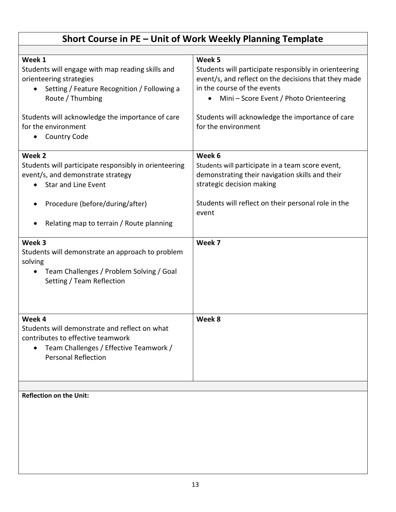| Short Course in PE – Unit of Work Weekly Planning Template                                                                                                                                                                                                              |                                                                                                                                                                                                                                                                              |  |  |
|-------------------------------------------------------------------------------------------------------------------------------------------------------------------------------------------------------------------------------------------------------------------------|------------------------------------------------------------------------------------------------------------------------------------------------------------------------------------------------------------------------------------------------------------------------------|--|--|
|                                                                                                                                                                                                                                                                         |                                                                                                                                                                                                                                                                              |  |  |
| Week 1<br>Students will engage with map reading skills and<br>orienteering strategies<br>Setting / Feature Recognition / Following a<br>$\bullet$<br>Route / Thumbing<br>Students will acknowledge the importance of care<br>for the environment<br><b>Country Code</b> | Week 5<br>Students will participate responsibly in orienteering<br>event/s, and reflect on the decisions that they made<br>in the course of the events<br>Mini – Score Event / Photo Orienteering<br>Students will acknowledge the importance of care<br>for the environment |  |  |
| Week 2<br>Students will participate responsibly in orienteering<br>event/s, and demonstrate strategy<br><b>Star and Line Event</b><br>Procedure (before/during/after)<br>٠<br>Relating map to terrain / Route planning                                                  | Week 6<br>Students will participate in a team score event,<br>demonstrating their navigation skills and their<br>strategic decision making<br>Students will reflect on their personal role in the<br>event                                                                   |  |  |
| Week 3<br>Students will demonstrate an approach to problem<br>solving<br>Team Challenges / Problem Solving / Goal<br>$\bullet$<br>Setting / Team Reflection                                                                                                             | Week 7                                                                                                                                                                                                                                                                       |  |  |
| Week 4<br>Students will demonstrate and reflect on what<br>contributes to effective teamwork<br>Team Challenges / Effective Teamwork /<br>٠<br><b>Personal Reflection</b>                                                                                               | Week 8                                                                                                                                                                                                                                                                       |  |  |
| <b>Reflection on the Unit:</b>                                                                                                                                                                                                                                          |                                                                                                                                                                                                                                                                              |  |  |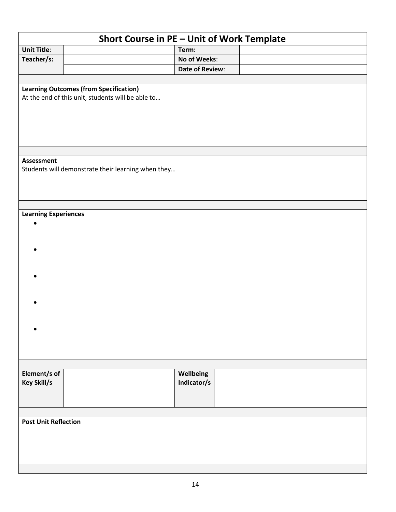| Short Course in PE - Unit of Work Template |                                                                                                    |                 |  |  |
|--------------------------------------------|----------------------------------------------------------------------------------------------------|-----------------|--|--|
| <b>Unit Title:</b>                         |                                                                                                    | Term:           |  |  |
| Teacher/s:                                 |                                                                                                    | No of Weeks:    |  |  |
|                                            |                                                                                                    | Date of Review: |  |  |
|                                            |                                                                                                    |                 |  |  |
|                                            | <b>Learning Outcomes (from Specification)</b><br>At the end of this unit, students will be able to |                 |  |  |
|                                            |                                                                                                    |                 |  |  |
| <b>Assessment</b>                          |                                                                                                    |                 |  |  |
|                                            | Students will demonstrate their learning when they                                                 |                 |  |  |
|                                            |                                                                                                    |                 |  |  |
|                                            |                                                                                                    |                 |  |  |
|                                            |                                                                                                    |                 |  |  |
| <b>Learning Experiences</b>                |                                                                                                    |                 |  |  |
| $\bullet$                                  |                                                                                                    |                 |  |  |
|                                            |                                                                                                    |                 |  |  |
|                                            |                                                                                                    |                 |  |  |
|                                            |                                                                                                    |                 |  |  |
|                                            |                                                                                                    |                 |  |  |
|                                            |                                                                                                    |                 |  |  |
|                                            |                                                                                                    |                 |  |  |
|                                            |                                                                                                    |                 |  |  |
|                                            |                                                                                                    |                 |  |  |
|                                            |                                                                                                    |                 |  |  |
|                                            |                                                                                                    |                 |  |  |
|                                            |                                                                                                    |                 |  |  |
|                                            |                                                                                                    |                 |  |  |
|                                            |                                                                                                    |                 |  |  |
| Element/s of                               |                                                                                                    | Wellbeing       |  |  |
| <b>Key Skill/s</b>                         |                                                                                                    | Indicator/s     |  |  |
|                                            |                                                                                                    |                 |  |  |
|                                            |                                                                                                    |                 |  |  |
|                                            |                                                                                                    |                 |  |  |
| <b>Post Unit Reflection</b>                |                                                                                                    |                 |  |  |
|                                            |                                                                                                    |                 |  |  |
|                                            |                                                                                                    |                 |  |  |
|                                            |                                                                                                    |                 |  |  |
|                                            |                                                                                                    |                 |  |  |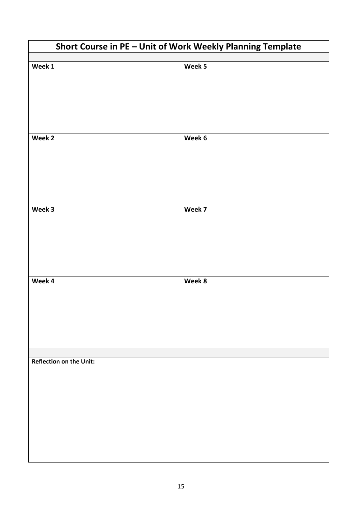| Short Course in PE - Unit of Work Weekly Planning Template |        |  |  |
|------------------------------------------------------------|--------|--|--|
|                                                            |        |  |  |
| Week 1                                                     | Week 5 |  |  |
|                                                            |        |  |  |
|                                                            |        |  |  |
|                                                            |        |  |  |
|                                                            |        |  |  |
|                                                            |        |  |  |
|                                                            |        |  |  |
| Week 2                                                     | Week 6 |  |  |
|                                                            |        |  |  |
|                                                            |        |  |  |
|                                                            |        |  |  |
|                                                            |        |  |  |
|                                                            |        |  |  |
| Week 3                                                     | Week 7 |  |  |
|                                                            |        |  |  |
|                                                            |        |  |  |
|                                                            |        |  |  |
|                                                            |        |  |  |
|                                                            |        |  |  |
|                                                            |        |  |  |
| Week 4                                                     | Week 8 |  |  |
|                                                            |        |  |  |
|                                                            |        |  |  |
|                                                            |        |  |  |
|                                                            |        |  |  |
|                                                            |        |  |  |
|                                                            |        |  |  |
|                                                            |        |  |  |
| <b>Reflection on the Unit:</b>                             |        |  |  |
|                                                            |        |  |  |
|                                                            |        |  |  |
|                                                            |        |  |  |
|                                                            |        |  |  |
|                                                            |        |  |  |
|                                                            |        |  |  |
|                                                            |        |  |  |
|                                                            |        |  |  |
|                                                            |        |  |  |